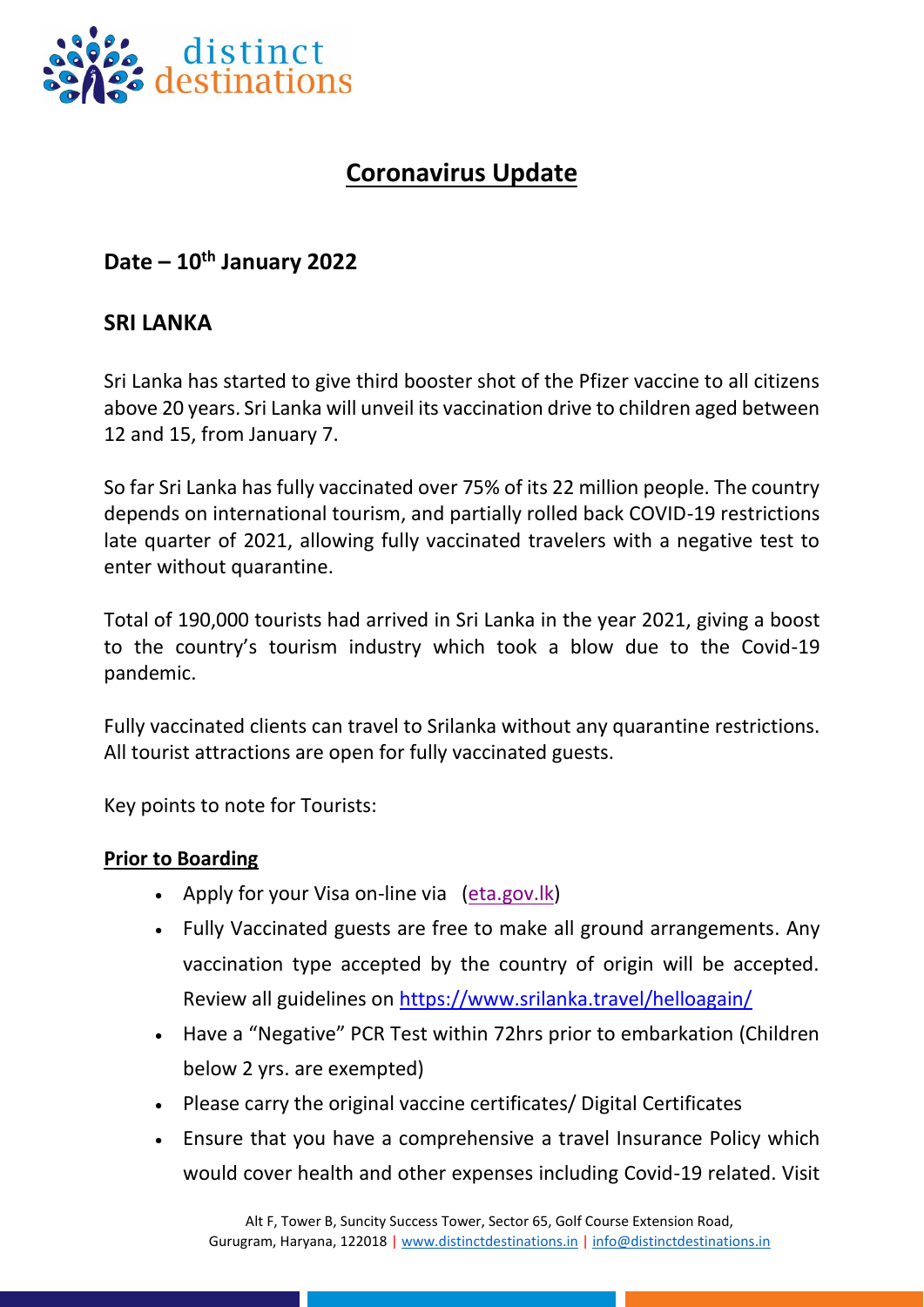

# **Coronavirus Update**

## **Date – 10th January 2022**

### **SRI LANKA**

Sri Lanka has started to give third booster shot of the Pfizer vaccine to all citizens above 20 years. Sri Lanka will unveil its vaccination drive to children aged between 12 and 15, from January 7.

So far Sri Lanka has fully vaccinated over 75% of its 22 million people. The country depends on international tourism, and partially rolled back COVID-19 restrictions late quarter of 2021, allowing fully vaccinated travelers with a negative test to enter without quarantine.

Total of 190,000 tourists had arrived in Sri Lanka in the year 2021, giving a boost to the country's tourism industry which took a blow due to the Covid-19 pandemic.

Fully vaccinated clients can travel to Srilanka without any quarantine restrictions. All tourist attractions are open for fully vaccinated guests.

Key points to note for Tourists:

#### **Prior to Boarding**

- Apply for your Visa on-line via [\(eta.gov.lk\)](http://www.eta.gov.lk/)
- Fully Vaccinated guests are free to make all ground arrangements. Any vaccination type accepted by the country of origin will be accepted. Review all guidelines on<https://www.srilanka.travel/helloagain/>
- Have a "Negative" PCR Test within 72hrs prior to embarkation (Children below 2 yrs. are exempted)
- Please carry the original vaccine certificates/ Digital Certificates
- Ensure that you have a comprehensive a travel Insurance Policy which would cover health and other expenses including Covid-19 related. Visit